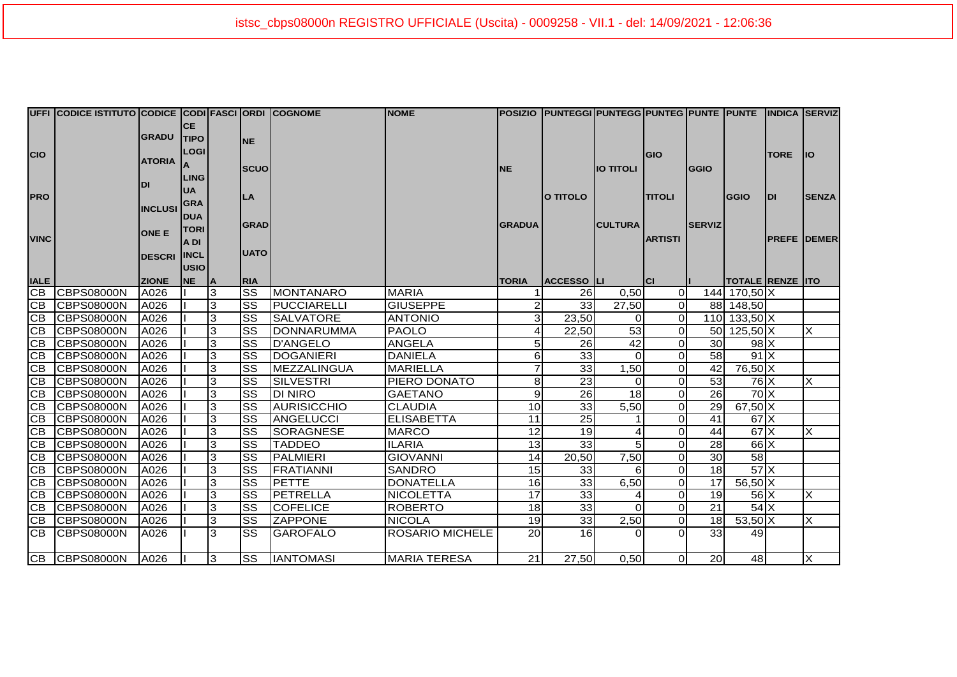|                             | UFFI CODICE ISTITUTO CODICE CODI FASCI ORDI COGNOME |               |             |             |                        |                     | <b>NOME</b>         |                | POSIZIO  PUNTEGGI PUNTEGG PUNTEG PUNTE  PUNTE  INDICA  SERVIZ |                |                |                 |                         |             |                           |
|-----------------------------|-----------------------------------------------------|---------------|-------------|-------------|------------------------|---------------------|---------------------|----------------|---------------------------------------------------------------|----------------|----------------|-----------------|-------------------------|-------------|---------------------------|
|                             |                                                     |               | <b>CE</b>   |             |                        |                     |                     |                |                                                               |                |                |                 |                         |             |                           |
| CIO                         |                                                     | <b>GRADU</b>  | <b>TIPO</b> |             | <b>NE</b>              |                     |                     |                |                                                               |                |                |                 |                         |             |                           |
|                             |                                                     |               | <b>LOGI</b> |             |                        |                     |                     |                |                                                               |                | GIO            |                 |                         | <b>TORE</b> | <b>IIO</b>                |
|                             | <b>ATORIA</b>                                       |               |             | <b>SCUO</b> |                        |                     | <b>NE</b>           |                | <b>IO TITOLI</b>                                              |                | <b>GGIO</b>    |                 |                         |             |                           |
|                             |                                                     |               | <b>LING</b> |             |                        |                     |                     |                |                                                               |                |                |                 |                         |             |                           |
|                             |                                                     | DI            | <b>UA</b>   |             |                        |                     |                     |                |                                                               |                |                |                 |                         |             |                           |
| PRO                         |                                                     |               | <b>GRA</b>  |             | LA                     |                     |                     |                | O TITOLO                                                      |                | <b>TITOLI</b>  |                 | <b>GGIO</b>             | <b>DI</b>   | <b>SENZA</b>              |
|                             | <b>INCLUSI</b>                                      | <b>DUA</b>    |             |             |                        |                     |                     |                |                                                               |                |                |                 |                         |             |                           |
|                             |                                                     | <b>ONE E</b>  | <b>TORI</b> |             | <b>GRAD</b>            |                     |                     | <b>GRADUA</b>  |                                                               | <b>CULTURA</b> |                | <b>SERVIZ</b>   |                         |             |                           |
| <b>VINC</b>                 |                                                     |               | A DI        |             |                        |                     |                     |                |                                                               |                | <b>ARTISTI</b> |                 |                         |             | <b>PREFE DEMER</b>        |
|                             |                                                     | <b>DESCRI</b> | <b>INCL</b> |             | <b>UATO</b>            |                     |                     |                |                                                               |                |                |                 |                         |             |                           |
|                             |                                                     |               | <b>USIO</b> |             |                        |                     |                     |                |                                                               |                |                |                 |                         |             |                           |
| <b>IALE</b>                 |                                                     | <b>ZIONE</b>  | <b>NE</b>   | ΙA          | <b>RIA</b>             |                     |                     | <b>TORIA</b>   | <b>ACCESSO LI</b>                                             |                | lcı            |                 | <b>TOTALE RENZE ITO</b> |             |                           |
|                             | CB CBPS08000N                                       | A026          |             | 3           | $\overline{\text{ss}}$ | <b>MONTANARO</b>    | <b>MARIA</b>        |                | <b>26</b>                                                     | 0,50           | $\overline{O}$ |                 | 144 170,50 X            |             |                           |
|                             | CB CBPS08000N                                       | A026          |             | 3           | $\overline{\text{ss}}$ | <b>IPUCCIARELLI</b> | <b>GIUSEPPE</b>     | $\overline{2}$ | 33                                                            | 27,50          | $\overline{0}$ |                 | 88 148,50               |             |                           |
| $\overline{CB}$             | <b>CBPS08000N</b>                                   | A026          |             | 3           | SS                     | <b>SALVATORE</b>    | <b>ANTONIO</b>      | 3              | 23,50                                                         | 0              | $\Omega$       |                 | 110 133,50 X            |             |                           |
| $\overline{CB}$             | <b>ICBPS08000N</b>                                  | A026          |             | 3           | SS                     | <b>IDONNARUMMA</b>  | <b>PAOLO</b>        | 4              | 22,50                                                         | 53             | $\overline{0}$ |                 | 50 125,50 X             |             | X                         |
| СB                          | <b>CBPS08000N</b>                                   | A026          |             | 3           | $\overline{\text{ss}}$ | D'ANGELO            | <b>ANGELA</b>       | 5 <sub>l</sub> | 26                                                            | 42             | $\overline{O}$ | 30              | $98$ $X$                |             |                           |
| CE                          | <b>ICBPS08000N</b>                                  | A026          |             | 3           | <b>SS</b>              | <b>DOGANIERI</b>    | <b>DANIELA</b>      | 6              | $\overline{33}$                                               | $\Omega$       | $\Omega$       | 58              | 91X                     |             |                           |
| $\overline{C}$ <sub>B</sub> | <b>CBPS08000N</b>                                   | A026          |             | 3           | SS                     | <b>MEZZALINGUA</b>  | <b>MARIELLA</b>     |                | 33                                                            | 1,50           | $\overline{0}$ | 42              | 76,50 X                 |             |                           |
|                             | CB CBPS08000N                                       | A026          |             | 3           | SS                     | <b>SILVESTRI</b>    | PIERO DONATO        | 8              | 23                                                            | $\Omega$       | $\overline{0}$ | 53              | $76$ $X$                |             | X                         |
| CB                          | <b>CBPS08000N</b>                                   | A026          |             | 3           | <b>SS</b>              | <b>DI NIRO</b>      | <b>GAETANO</b>      | 9              | 26                                                            | 18             | $\overline{O}$ | 26              | $70 \times$             |             |                           |
| CE                          | <b>CBPS08000N</b>                                   | A026          |             | 3           | SS                     | AURISICCHIO         | <b>CLAUDIA</b>      | 10             | 33                                                            | 5,50           | $\overline{O}$ | 29              | $67,50$ X               |             |                           |
| $\overline{CB}$             | <b>CBPS08000N</b>                                   | A026          |             | 3           | <b>SS</b>              | ANGELUCCI           | <b>ELISABETTA</b>   | 11             | 25                                                            |                | $\overline{O}$ | 41              | $67$ $\times$           |             |                           |
| CB                          | <b>CBPS08000N</b>                                   | A026          |             | 3           | SS                     | SORAGNESE           | <b>MARCO</b>        | 12             | 19                                                            | 4              | $\overline{O}$ | 44              | $67$ $\times$           |             | X                         |
|                             | CB CBPS08000N                                       | A026          |             | 3           | SS                     | <b>TADDEO</b>       | <b>ILARIA</b>       | 13             | 33                                                            | 5              | $\Omega$       | 28              | $66$ $X$                |             |                           |
| CB                          | CBPS08000N                                          | A026          |             | 3           | $\overline{\text{ss}}$ | <b>PALMIERI</b>     | <b>GIOVANNI</b>     | 14             | 20,50                                                         | 7,50           | $\overline{O}$ | 30              | 58                      |             |                           |
| CB                          | <b>ICBPS08000N</b>                                  | A026          |             | 3           | <b>SS</b>              | <b>FRATIANNI</b>    | <b>SANDRO</b>       | 15             | 33                                                            | 6              | $\overline{0}$ | 18              | $57$ $X$                |             |                           |
| CB                          | <b>CBPS08000N</b>                                   | A026          |             | 3           | SS                     | <b>PETTE</b>        | <b>DONATELLA</b>    | 16             | 33                                                            | 6,50           | $\Omega$       | 17              | $56,50$ X               |             |                           |
| CB                          | <b>ICBPS08000N</b>                                  | A026          |             | 3           | SS                     | PETRELLA            | <b>NICOLETTA</b>    | 17             | 33                                                            |                | $\Omega$       | 19              | $56$ $X$                |             | X                         |
| ĪСВ                         | <b>ICBPS08000N</b>                                  | A026          |             | 3           | SS                     | <b>COFELICE</b>     | <b>ROBERTO</b>      | 18             | 33                                                            | $\Omega$       | $\overline{O}$ | 21              | $54$ $X$                |             |                           |
| <b>CB</b>                   | CBPS08000N                                          | A026          |             | 3           | <b>SS</b>              | <b>ZAPPONE</b>      | <b>NICOLA</b>       | 19             | 33                                                            | 2,50           | $\overline{0}$ | 18 <sup>l</sup> | $53,50$ X               |             | X                         |
| $\overline{CB}$             | <b>CBPS08000N</b>                                   | A026          |             | 3           | <b>SS</b>              | <b>GAROFALO</b>     | ROSARIO MICHELE     | 20             | 16                                                            | $\Omega$       | $\Omega$       | 33              | 49                      |             |                           |
|                             | CB CBPS08000N                                       | A026          |             | 3           | <b>SS</b>              | <b>IANTOMASI</b>    | <b>MARIA TERESA</b> | 21             | 27,50                                                         | 0,50           | Οl             | 20              | 48                      |             | $\boldsymbol{\mathsf{X}}$ |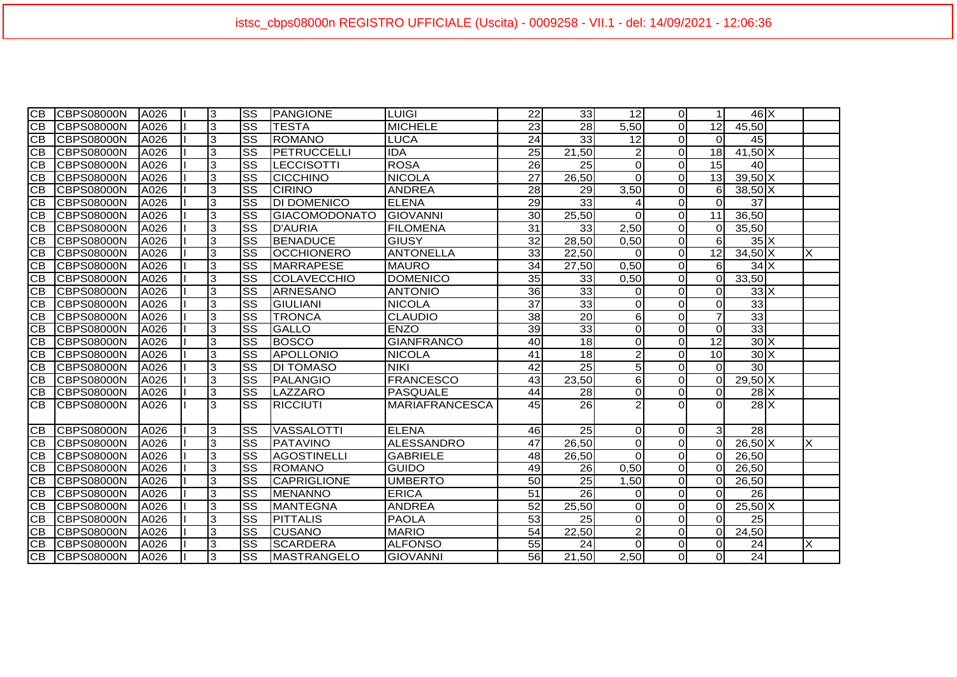| IСB             | <b>CBPS08000N</b> | A026 | 3 | <b>SS</b>              | <b>PANGIONE</b>      | <b>LUIGI</b>          | 22              | 33              | 12             | $\overline{0}$ |                 | $46$ $X$                   |   |
|-----------------|-------------------|------|---|------------------------|----------------------|-----------------------|-----------------|-----------------|----------------|----------------|-----------------|----------------------------|---|
| IСB             | <b>CBPS08000N</b> | A026 | 3 | $\overline{\text{ss}}$ | <b>TESTA</b>         | <b>MICHELE</b>        | 23              | 28              | 5,50           | $\overline{0}$ | 12              | 45,50                      |   |
| <b>CB</b>       | <b>CBPS08000N</b> | A026 | 3 | $\overline{\text{ss}}$ | <b>ROMANO</b>        | <b>LUCA</b>           | 24              | 33              | 12             | $\overline{O}$ | $\Omega$        | 45                         |   |
| <b>CB</b>       | <b>CBPS08000N</b> | A026 | 3 | $\overline{\text{ss}}$ | PETRUCCELLI          | <b>IDA</b>            | 25              | 21,50           | $\overline{c}$ | $\overline{0}$ | 18              | $41,50$ X                  |   |
| <b>CB</b>       | <b>CBPS08000N</b> | A026 | 3 | $\overline{\text{ss}}$ | <b>LECCISOTTI</b>    | <b>ROSA</b>           | $\overline{26}$ | $\overline{25}$ | $\overline{0}$ | $\overline{0}$ | $\overline{15}$ | 40                         |   |
| <b>CB</b>       | <b>CBPS08000N</b> | A026 | 3 | $\overline{\text{ss}}$ | <b>CICCHINO</b>      | <b>NICOLA</b>         | $\overline{27}$ | 26,50           | $\Omega$       | $\overline{O}$ | 13              | $39,50$ X                  |   |
| <b>CB</b>       | <b>CBPS08000N</b> | A026 | 3 | $\overline{\text{ss}}$ | <b>CIRINO</b>        | <b>ANDREA</b>         | 28              | 29              | 3,50           | $\overline{0}$ | 6               | $38,50\overline{\text{X}}$ |   |
| <b>CB</b>       | <b>CBPS08000N</b> | A026 | 3 | $\overline{\text{ss}}$ | <b>DI DOMENICO</b>   | <b>ELENA</b>          | 29              | 33              | 4              | $\overline{0}$ | $\Omega$        | 37                         |   |
| <b>CB</b>       | <b>CBPS08000N</b> | A026 | 3 | $\overline{\text{ss}}$ | <b>GIACOMODONATO</b> | <b>GIOVANNI</b>       | 30              | 25,50           | $\Omega$       | $\overline{0}$ | 11              | 36,50                      |   |
| <b>CB</b>       | <b>CBPS08000N</b> | A026 | 3 | $\overline{\text{ss}}$ | <b>D'AURIA</b>       | <b>FILOMENA</b>       | 31              | 33              | 2,50           | $\overline{0}$ | $\Omega$        | 35,50                      |   |
| <b>CB</b>       | <b>CBPS08000N</b> | A026 | 3 | $\overline{\text{ss}}$ | <b>BENADUCE</b>      | <b>GIUSY</b>          | 32              | 28,50           | 0,50           | $\overline{0}$ | 6               | $35\text{X}$               |   |
| <b>CB</b>       | <b>CBPS08000N</b> | A026 | 3 | $\overline{\text{ss}}$ | <b>OCCHIONERO</b>    | <b>ANTONELLA</b>      | 33              | 22,50           | $\Omega$       | $\overline{0}$ | 12              | $34,50$ X                  | X |
| <b>CB</b>       | <b>CBPS08000N</b> | A026 | 3 | $\overline{\text{ss}}$ | MARRAPESE            | <b>MAURO</b>          | $\overline{34}$ | 27,50           | 0,50           | $\overline{0}$ | 6               | $34$ $X$                   |   |
| <b>CB</b>       | <b>CBPS08000N</b> | A026 | 3 | $\overline{\text{ss}}$ | <b>COLAVECCHIO</b>   | <b>DOMENICO</b>       | 35              | 33              | 0,50           | $\overline{0}$ | $\overline{0}$  | 33,50                      |   |
| <b>CB</b>       | <b>CBPS08000N</b> | A026 | 3 | $\overline{\text{ss}}$ | <b>ARNESANO</b>      | <b>ANTONIO</b>        | 36              | 33              | $\overline{0}$ | $\overline{0}$ | $\mathbf 0$     | $33\text{X}$               |   |
| <b>CB</b>       | <b>CBPS08000N</b> | A026 | 3 | $\overline{\text{SS}}$ | <b>GIULIANI</b>      | <b>NICOLA</b>         | $\overline{37}$ | 33              | $\overline{0}$ | $\overline{0}$ | $\Omega$        | 33                         |   |
| <b>CB</b>       | <b>CBPS08000N</b> | A026 | 3 | $\overline{\text{ss}}$ | <b>TRONCA</b>        | <b>CLAUDIO</b>        | 38              | 20              | $6 \mid$       | $\overline{0}$ | $\overline{7}$  | 33                         |   |
| <b>CB</b>       | <b>CBPS08000N</b> | A026 | 3 | $\overline{\text{ss}}$ | <b>GALLO</b>         | <b>ENZO</b>           | 39              | 33              | $\overline{0}$ | $\overline{0}$ | $\mathbf 0$     | 33                         |   |
| СB              | <b>CBPS08000N</b> | A026 | 3 | $\overline{\text{ss}}$ | <b>BOSCO</b>         | <b>GIANFRANCO</b>     | 40              | $\overline{18}$ | $\overline{0}$ | $\overline{0}$ | 12              | $30\text{X}$               |   |
| <b>CB</b>       | <b>CBPS08000N</b> | A026 | 3 | $\overline{\text{ss}}$ | APOLLONIO            | <b>NICOLA</b>         | 41              | 18              | $\overline{2}$ | $\overline{O}$ | 10              | $30 \times$                |   |
| CB              | <b>CBPS08000N</b> | A026 | 3 | $\overline{\text{ss}}$ | <b>DI TOMASO</b>     | <b>NIKI</b>           | 42              | $\overline{25}$ | $\overline{5}$ | $\overline{0}$ | $\Omega$        | 30                         |   |
| IСB             | <b>CBPS08000N</b> | A026 | 3 | $\overline{\text{ss}}$ | <b>PALANGIO</b>      | <b>FRANCESCO</b>      | 43              | 23,50           | $6 \mid$       | $\overline{0}$ | $\Omega$        | $29,50$ X                  |   |
| <b>CB</b>       | <b>CBPS08000N</b> | A026 | 3 | $\overline{\text{ss}}$ | LAZZARO              | <b>PASQUALE</b>       | 44              | 28              | $\overline{0}$ | $\overline{0}$ | $\mathbf 0$     | $28$ $X$                   |   |
| IСB             | <b>CBPS08000N</b> | A026 | 3 | SS                     | <b>RICCIUTI</b>      | <b>MARIAFRANCESCA</b> | 45              | $\overline{26}$ | $\overline{2}$ | $\Omega$       | $\Omega$        | $28$ $X$                   |   |
| ICB.            | <b>CBPS08000N</b> | A026 | 3 | $\overline{\text{ss}}$ | <b>VASSALOTTI</b>    | <b>ELENA</b>          | 46              | $\overline{25}$ | $\overline{0}$ | $\overline{0}$ | $\mathbf{3}$    | $\overline{28}$            |   |
| $\overline{CB}$ | CBPS08000N        | A026 | 3 | $\overline{\text{ss}}$ | PATAVINO             | ALESSANDRO            | 47              | 26,50           | $\overline{0}$ | $\overline{0}$ | $\Omega$        | $26,50$ X                  | X |
| <b>CB</b>       | <b>CBPS08000N</b> | A026 | 3 | $\overline{\text{ss}}$ | <b>AGOSTINELLI</b>   | <b>GABRIELE</b>       | 48              | 26,50           | $\Omega$       | $\overline{0}$ | $\overline{0}$  | 26,50                      |   |
| $\overline{CB}$ | <b>CBPS08000N</b> | A026 | 3 | $\overline{\text{ss}}$ | <b>ROMANO</b>        | GUIDO                 | 49              | $\overline{26}$ | 0,50           | $\overline{0}$ | $\Omega$        | 26,50                      |   |
| <b>CB</b>       | <b>CBPS08000N</b> | A026 | 3 | $\overline{\text{ss}}$ | <b>CAPRIGLIONE</b>   | <b>UMBERTO</b>        | 50              | 25              | 1,50           | $\overline{0}$ | $\overline{0}$  | 26,50                      |   |
| <b>CB</b>       | <b>CBPS08000N</b> | A026 | 3 | $\overline{\text{ss}}$ | <b>MENANNO</b>       | <b>ERICA</b>          | $\overline{51}$ | $\overline{26}$ | $\overline{0}$ | $\overline{0}$ | 0               | 26                         |   |
| <b>CB</b>       | <b>CBPS08000N</b> | A026 | 3 | $\overline{\text{ss}}$ | <b>MANTEGNA</b>      | <b>ANDREA</b>         | 52              | 25,50           | $\overline{0}$ | $\overline{O}$ | $\Omega$        | $25,50$ X                  |   |
| <b>CB</b>       | <b>CBPS08000N</b> | A026 | 3 | $\overline{\text{ss}}$ | <b>PITTALIS</b>      | <b>PAOLA</b>          | 53              | 25              | $\mathbf 0$    | $\overline{0}$ | $\Omega$        | 25                         |   |
| CВ              | <b>CBPS08000N</b> | A026 | 3 | $\overline{\text{ss}}$ | <b>CUSANO</b>        | <b>MARIO</b>          | $\overline{54}$ | 22,50           | $\overline{2}$ | $\overline{0}$ | $\mathbf 0$     | 24,50                      |   |
| <b>CB</b>       | <b>CBPS08000N</b> | A026 | 3 | $\overline{\text{ss}}$ | <b>SCARDERA</b>      | <b>ALFONSO</b>        | 55              | 24              | $\Omega$       | $\overline{0}$ | $\Omega$        | 24                         | X |
| <b>CB</b>       | <b>CBPS08000N</b> | A026 | 3 | $\overline{\text{ss}}$ | <b>MASTRANGELO</b>   | <b>GIOVANNI</b>       | 56              | 21,50           | 2,50           | $\overline{0}$ | $\Omega$        | $\overline{24}$            |   |